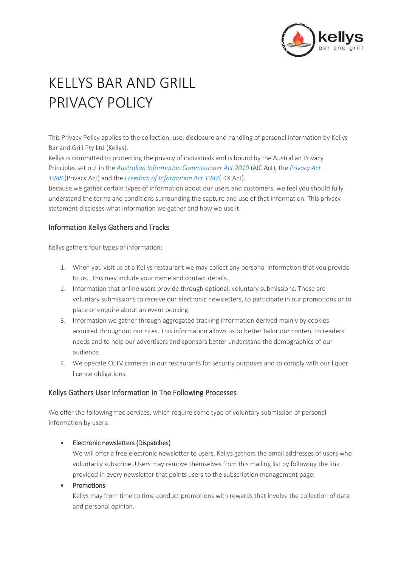

# KELLYS BAR AND GRILL PRIVACY POLICY

This Privacy Policy applies to the collection, use, disclosure and handling of personal information by Kellys Bar and Grill Pty Ltd (Kellys).

Kellys is committed to protecting the privacy of individuals and is bound by the Australian Privacy Principles set out in the *[Australian Information Commissioner Act 2010](http://www.comlaw.gov.au/Details/C2012C00126)* (AIC Act), the *[Privacy Act](http://www.comlaw.gov.au/Details/C2013C00482)  [1988](http://www.comlaw.gov.au/Details/C2013C00482)* (Privacy Act) and the *[Freedom of Information Act 1982](http://www.comlaw.gov.au/Details/C2012C00904)*(FOI Act).

Because we gather certain types of information about our users and customers, we feel you should fully understand the terms and conditions surrounding the capture and use of that information. This privacy statement discloses what information we gather and how we use it.

## Information Kellys Gathers and Tracks

Kellys gathers four types of information:

- 1. When you visit us at a Kellys restaurant we may collect any personal information that you provide to us. This may include your name and contact details.
- 2. Information that online users provide through optional, voluntary submissions. These are voluntary submissions to receive our electronic newsletters, to participate in our promotions or to place or enquire about an event booking.
- 3. Information we gather through aggregated tracking information derived mainly by cookies acquired throughout our sites. This information allows us to better tailor our content to readers' needs and to help our advertisers and sponsors better understand the demographics of our audience.
- 4. We operate CCTV cameras in our restaurants for security purposes and to comply with our liquor licence obligations.

# Kellys Gathers User Information in The Following Processes

We offer the following free services, which require some type of voluntary submission of personal information by users:

## • Electronic newsletters (Dispatches)

We will offer a free electronic newsletter to users. Kellys gathers the email addresses of users who voluntarily subscribe. Users may remove themselves from this mailing list by following the link provided in every newsletter that points users to the subscription management page.

## • Promotions

Kellys may from time to time conduct promotions with rewards that involve the collection of data and personal opinion.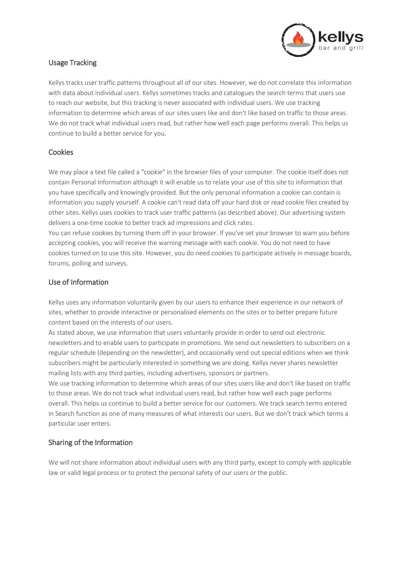

# Usage Tracking

Kellys tracks user traffic patterns throughout all of our sites. However, we do not correlate this information with data about individual users. Kellys sometimes tracks and catalogues the search terms that users use to reach our website, but this tracking is never associated with individual users. We use tracking information to determine which areas of our sites users like and don't like based on traffic to those areas. We do not track what individual users read, but rather how well each page performs overall. This helps us continue to build a better service for you.

## **Cookies**

We may place a text file called a "cookie" in the browser files of your computer. The cookie itself does not contain Personal Information although it will enable us to relate your use of this site to information that you have specifically and knowingly provided. But the only personal information a cookie can contain is information you supply yourself. A cookie can't read data off your hard disk or read cookie files created by other sites. Kellys uses cookies to track user traffic patterns (as described above). Our advertising system delivers a one-time cookie to better track ad impressions and click rates.

You can refuse cookies by turning them off in your browser. If you've set your browser to warn you before accepting cookies, you will receive the warning message with each cookie. You do not need to have cookies turned on to use this site. However, you do need cookies to participate actively in message boards, forums, polling and surveys.

## Use of Information

Kellys uses any information voluntarily given by our users to enhance their experience in our network of sites, whether to provide interactive or personalised elements on the sites or to better prepare future content based on the interests of our users.

As stated above, we use information that users voluntarily provide in order to send out electronic newsletters and to enable users to participate in promotions. We send out newsletters to subscribers on a regular schedule (depending on the newsletter), and occasionally send out special editions when we think subscribers might be particularly interested in something we are doing. Kellys never shares newsletter mailing lists with any third parties, including advertisers, sponsors or partners.

We use tracking information to determine which areas of our sites users like and don't like based on traffic to those areas. We do not track what individual users read, but rather how well each page performs overall. This helps us continue to build a better service for our customers. We track search terms entered in Search function as one of many measures of what interests our users. But we don't track which terms a particular user enters.

# Sharing of the Information

We will not share information about individual users with any third party, except to comply with applicable law or valid legal process or to protect the personal safety of our users or the public.